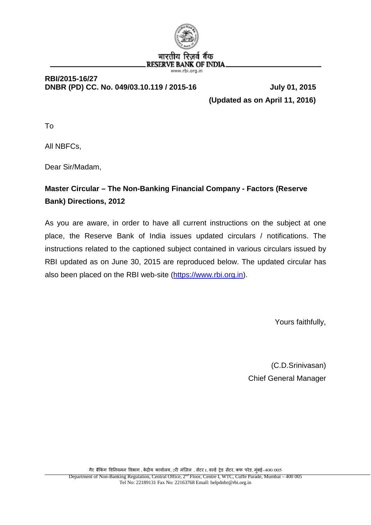

#### **RBI/2015-16/27 DNBR (PD) CC. No. 049/03.10.119 / 2015-16 July 01, 2015**

 **(Updated as on April 11, 2016)** 

To

All NBFCs,

Dear Sir/Madam,

# **Master Circular – The Non-Banking Financial Company - Factors (Reserve Bank) Directions, 2012**

As you are aware, in order to have all current instructions on the subject at one place, the Reserve Bank of India issues updated circulars / notifications. The instructions related to the captioned subject contained in various circulars issued by RBI updated as on June 30, 2015 are reproduced below. The updated circular has also been placed on the RBI web-site [\(https://www.rbi.org.in\)](https://www.rbi.org.in/).

Yours faithfully,

(C.D.Srinivasan) Chief General Manager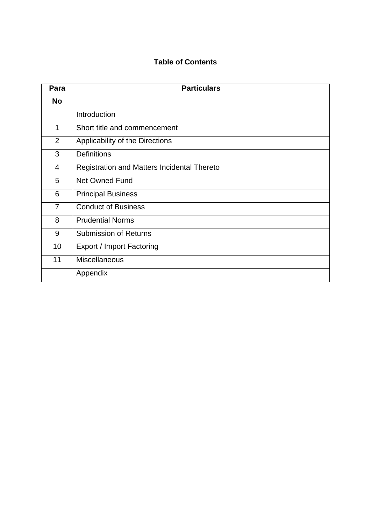## **Table of Contents**

| Para           | <b>Particulars</b>                          |
|----------------|---------------------------------------------|
| <b>No</b>      |                                             |
|                | Introduction                                |
| 1              | Short title and commencement                |
| $\overline{2}$ | Applicability of the Directions             |
| 3              | <b>Definitions</b>                          |
| 4              | Registration and Matters Incidental Thereto |
| 5              | Net Owned Fund                              |
| 6              | <b>Principal Business</b>                   |
| $\overline{7}$ | <b>Conduct of Business</b>                  |
| 8              | <b>Prudential Norms</b>                     |
| 9              | <b>Submission of Returns</b>                |
| 10             | <b>Export / Import Factoring</b>            |
| 11             | <b>Miscellaneous</b>                        |
|                | Appendix                                    |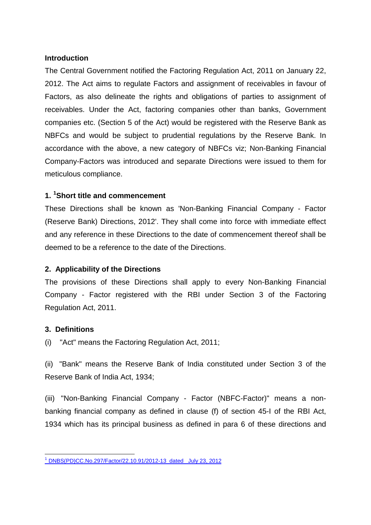#### **Introduction**

The Central Government notified the Factoring Regulation Act, 2011 on January 22, 2012. The Act aims to regulate Factors and assignment of receivables in favour of Factors, as also delineate the rights and obligations of parties to assignment of receivables. Under the Act, factoring companies other than banks, Government companies etc. (Section 5 of the Act) would be registered with the Reserve Bank as NBFCs and would be subject to prudential regulations by the Reserve Bank. In accordance with the above, a new category of NBFCs viz; Non-Banking Financial Company-Factors was introduced and separate Directions were issued to them for meticulous compliance.

### **1. [1](#page-2-0) Short title and commencement**

These Directions shall be known as 'Non-Banking Financial Company - Factor (Reserve Bank) Directions, 2012'. They shall come into force with immediate effect and any reference in these Directions to the date of commencement thereof shall be deemed to be a reference to the date of the Directions.

#### **2. Applicability of the Directions**

The provisions of these Directions shall apply to every Non-Banking Financial Company - Factor registered with the RBI under Section 3 of the Factoring Regulation Act, 2011.

#### **3. Definitions**

(i) "Act" means the Factoring Regulation Act, 2011;

(ii) "Bank" means the Reserve Bank of India constituted under Section 3 of the Reserve Bank of India Act, 1934;

(iii) "Non-Banking Financial Company - Factor (NBFC-Factor)" means a nonbanking financial company as defined in clause (f) of section 45-I of the RBI Act, 1934 which has its principal business as defined in para 6 of these directions and

<span id="page-2-0"></span><sup>1</sup> [DNBS\(PD\)CC.No.297/Factor/22.10.91/2012-13 dated July 23, 2012](https://rbi.org.in/scripts/NotificationUser.aspx?Id=7462&Mode=0)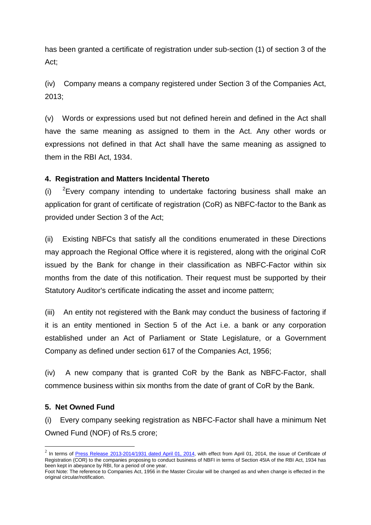has been granted a certificate of registration under sub-section (1) of section 3 of the Act;

(iv) Company means a company registered under Section 3 of the Companies Act, 2013;

(v) Words or expressions used but not defined herein and defined in the Act shall have the same meaning as assigned to them in the Act. Any other words or expressions not defined in that Act shall have the same meaning as assigned to them in the RBI Act, 1934.

#### **4. Registration and Matters Incidental Thereto**

 $(i)$ <sup>2</sup>Every company intending to undertake factoring business shall make an application for grant of certificate of registration (CoR) as NBFC-factor to the Bank as provided under Section 3 of the Act;

(ii) Existing NBFCs that satisfy all the conditions enumerated in these Directions may approach the Regional Office where it is registered, along with the original CoR issued by the Bank for change in their classification as NBFC-Factor within six months from the date of this notification. Their request must be supported by their Statutory Auditor's certificate indicating the asset and income pattern;

(iii) An entity not registered with the Bank may conduct the business of factoring if it is an entity mentioned in Section 5 of the Act i.e. a bank or any corporation established under an Act of Parliament or State Legislature, or a Government Company as defined under section 617 of the Companies Act, 1956;

(iv) A new company that is granted CoR by the Bank as NBFC-Factor, shall commence business within six months from the date of grant of CoR by the Bank.

#### **5. Net Owned Fund**

(i) Every company seeking registration as NBFC-Factor shall have a minimum Net Owned Fund (NOF) of Rs.5 crore;

<span id="page-3-0"></span> $2$  In terms of Press Release [2013-2014/1931 dated April 01, 2014,](https://rbi.org.in/scripts/BS_PressReleaseDisplay.aspx?prid=30917) with effect from April 01, 2014, the issue of Certificate of Registration (COR) to the companies proposing to conduct business of NBFI in terms of Section 45IA of the RBI Act, 1934 has been kept in abeyance by RBI, for a period of one year.

Foot Note: The reference to Companies Act, 1956 in the Master Circular will be changed as and when change is effected in the original circular/notification.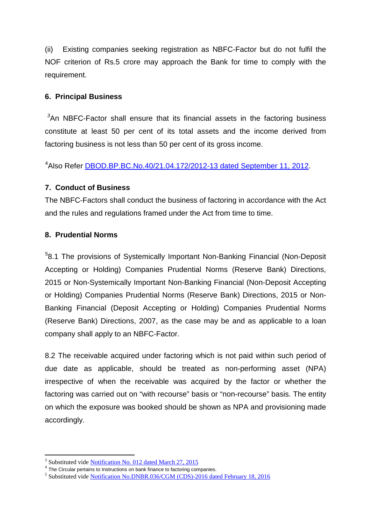(ii) Existing companies seeking registration as NBFC-Factor but do not fulfil the NOF criterion of Rs.5 crore may approach the Bank for time to comply with the requirement.

#### **6. Principal Business**

*[3](#page-4-0)* An NBFC-Factor shall ensure that its financial assets in the factoring business constitute at least 50 per cent of its total assets and the income derived from factoring business is not less than 50 per cent of its gross income.

<sup>[4](#page-4-1)</sup>Also Refer **DBOD.BP.BC.No.40/21.04.172/2012-13 dated September 11, 2012.** 

#### **7. Conduct of Business**

The NBFC-Factors shall conduct the business of factoring in accordance with the Act and the rules and regulations framed under the Act from time to time.

#### **8. Prudential Norms**

<sup>[5](#page-4-2)</sup>8.1 The provisions of Systemically Important Non-Banking Financial (Non-Deposit Accepting or Holding) Companies Prudential Norms (Reserve Bank) Directions, 2015 or Non-Systemically Important Non-Banking Financial (Non-Deposit Accepting or Holding) Companies Prudential Norms (Reserve Bank) Directions, 2015 or Non-Banking Financial (Deposit Accepting or Holding) Companies Prudential Norms (Reserve Bank) Directions, 2007, as the case may be and as applicable to a loan company shall apply to an NBFC-Factor.

8.2 The receivable acquired under factoring which is not paid within such period of due date as applicable, should be treated as non-performing asset (NPA) irrespective of when the receivable was acquired by the factor or whether the factoring was carried out on "with recourse" basis or "non-recourse" basis. The entity on which the exposure was booked should be shown as NPA and provisioning made accordingly.

<span id="page-4-2"></span><span id="page-4-1"></span>

<span id="page-4-0"></span><sup>&</sup>lt;sup>3</sup> Substituted vide <u>Notification [No. 012 dated March 27, 2015](https://rbi.org.in/Scripts/NotificationUser.aspx?Id=9623&Mode=0#N12)</u><br> $\frac{4}{\pi}$  The Circular pertains to Instructions on bank finance to factoring companies.<br><sup>5</sup> Substituted vide Notification No.DNBR.036/CGM (CDS)-2016 dated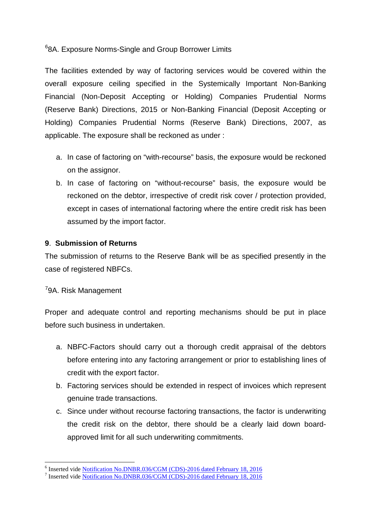[6](#page-5-0) 8A. Exposure Norms-Single and Group Borrower Limits

The facilities extended by way of factoring services would be covered within the overall exposure ceiling specified in the Systemically Important Non-Banking Financial (Non-Deposit Accepting or Holding) Companies Prudential Norms (Reserve Bank) Directions, 2015 or Non-Banking Financial (Deposit Accepting or Holding) Companies Prudential Norms (Reserve Bank) Directions, 2007, as applicable. The exposure shall be reckoned as under :

- a. In case of factoring on "with-recourse" basis, the exposure would be reckoned on the assignor.
- b. In case of factoring on "without-recourse" basis, the exposure would be reckoned on the debtor, irrespective of credit risk cover / protection provided, except in cases of international factoring where the entire credit risk has been assumed by the import factor.

#### **9**. **Submission of Returns**

The submission of returns to the Reserve Bank will be as specified presently in the case of registered NBFCs.

### <sup>[7](#page-5-1)</sup>9A. Risk Management

Proper and adequate control and reporting mechanisms should be put in place before such business in undertaken.

- a. NBFC-Factors should carry out a thorough credit appraisal of the debtors before entering into any factoring arrangement or prior to establishing lines of credit with the export factor.
- b. Factoring services should be extended in respect of invoices which represent genuine trade transactions.
- c. Since under without recourse factoring transactions, the factor is underwriting the credit risk on the debtor, there should be a clearly laid down boardapproved limit for all such underwriting commitments.

<span id="page-5-0"></span><sup>&</sup>lt;sup>6</sup> Inserted vide <u>Notification No.DNBR.036/CGM (CDS)-2016 dated February 18, 2016</u><br><sup>7</sup> Inserted vide [Notification No.DNBR.036/CGM \(CDS\)-2016 dated February 18,](https://rbi.org.in/Scripts/NotificationUser.aspx?Id=10286&Mode=0#S1) 2016

<span id="page-5-1"></span>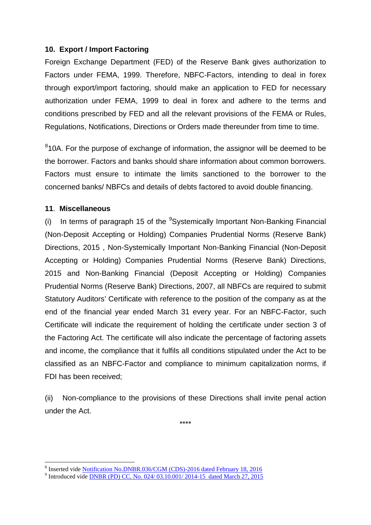#### **10. Export / Import Factoring**

Foreign Exchange Department (FED) of the Reserve Bank gives authorization to Factors under FEMA, 1999. Therefore, NBFC-Factors, intending to deal in forex through export/import factoring, should make an application to FED for necessary authorization under FEMA, 1999 to deal in forex and adhere to the terms and conditions prescribed by FED and all the relevant provisions of the FEMA or Rules, Regulations, Notifications, Directions or Orders made thereunder from time to time.

<sup>[8](#page-6-0)</sup>10A. For the purpose of exchange of information, the assignor will be deemed to be the borrower. Factors and banks should share information about common borrowers. Factors must ensure to intimate the limits sanctioned to the borrower to the concerned banks/ NBFCs and details of debts factored to avoid double financing.

#### **11**. **Miscellaneous**

(i) In terms of paragraph 15 of the  $9$ Systemically Important Non-Banking Financial (Non-Deposit Accepting or Holding) Companies Prudential Norms (Reserve Bank) Directions, 2015 , Non-Systemically Important Non-Banking Financial (Non-Deposit Accepting or Holding) Companies Prudential Norms (Reserve Bank) Directions, 2015 and Non-Banking Financial (Deposit Accepting or Holding) Companies Prudential Norms (Reserve Bank) Directions, 2007, all NBFCs are required to submit Statutory Auditors' Certificate with reference to the position of the company as at the end of the financial year ended March 31 every year. For an NBFC-Factor, such Certificate will indicate the requirement of holding the certificate under section 3 of the Factoring Act. The certificate will also indicate the percentage of factoring assets and income, the compliance that it fulfils all conditions stipulated under the Act to be classified as an NBFC-Factor and compliance to minimum capitalization norms, if FDI has been received;

(ii) Non-compliance to the provisions of these Directions shall invite penal action under the Act.

\*\*\*\*

<span id="page-6-0"></span><sup>&</sup>lt;sup>8</sup> Inserted vide <u>Notification No.DNBR.036/CGM (CDS)-2016 dated February 18, 2016</u><br><sup>9</sup> Introduced vide [DNBR \(PD\) CC. No. 024/ 03.10.001/ 2014-15 dated March 27, 2015](https://rbi.org.in/Scripts/NotificationUser.aspx?Id=9623&Mode=0)

<span id="page-6-1"></span>